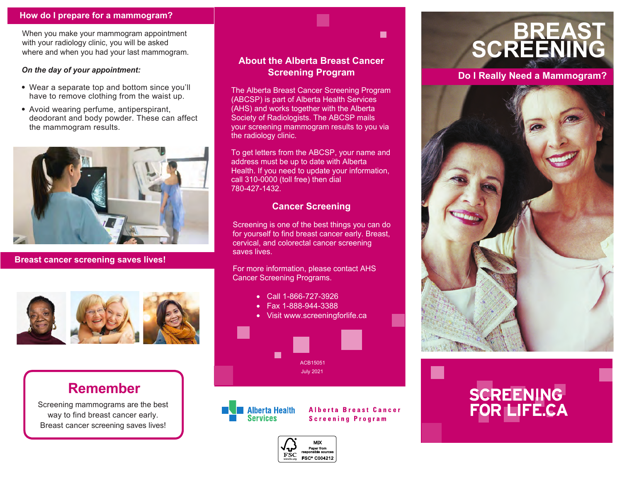#### **How do I prepare for a mammogram?**

When you make your mammogram appointment with your radiology clinic, you will be asked where and when you had your last mammogram.

#### *On the day of your appointment:*

- Wear a separate top and bottom since you'll have to remove clothing from the waist up.
- Avoid wearing perfume, antiperspirant, deodorant and body powder. These can affect the mammogram results.



**Breast cancer screening saves lives!**



### **Remember**

Screening mammograms are the best way to find breast cancer early. Breast cancer screening saves lives!

#### **About the Alberta Breast Cancer Screening Program**

 $\blacksquare$ 

The Alberta Breast Cancer Screening Program (ABCSP) is part of Alberta Health Services (AHS) and works together with the Alberta Society of Radiologists. The ABCSP mails your screening mammogram results to you via the radiology clinic.

To get letters from the ABCSP, your name and address must be up to date with Alberta Health. If you need to update your information, call 310-0000 (toll free) then dial 780-427-1432.

#### **Cancer Screening**

Screening is one of the best things you can do for yourself to find breast cancer early. Breast, cervical, and colorectal cancer screening saves lives.

For more information, please contact AHS Cancer Screening Programs.

- Call 1-866-727-3926
- Fax 1-888-944-3388
- Visit www.screeningforlife.ca



**Alberta Health Services** 

**Alberta Breast Cancer Screening Program** 



## **BREAST SCREENING**

**Do I Really Need a Mammogram?**



# **SCREENING**<br>FOR LIFF CA